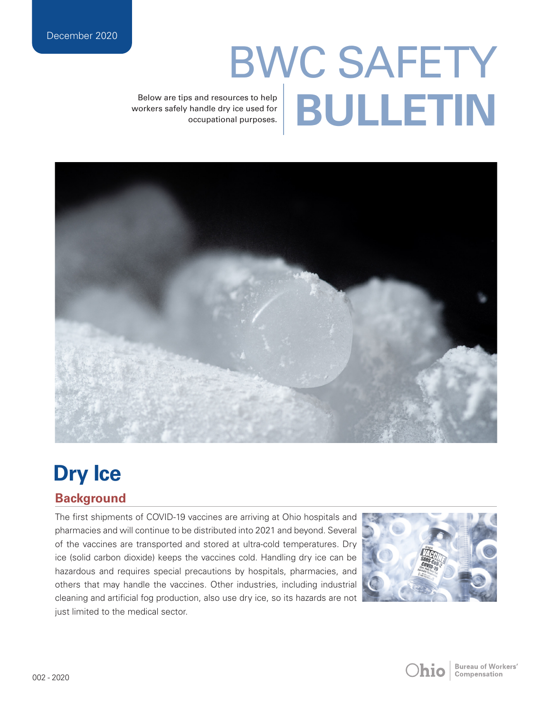# BWC SAFETY Below are tips and resources to help<br>rorkers safely handle dry ice used for<br>occupational purposes.

workers safely handle dry ice used for occupational purposes.



# **Dry Ice**

## **Background**

The first shipments of COVID-19 vaccines are arriving at Ohio hospitals and pharmacies and will continue to be distributed into 2021 and beyond. Several of the vaccines are transported and stored at ultra-cold temperatures. Dry ice (solid carbon dioxide) keeps the vaccines cold. Handling dry ice can be hazardous and requires special precautions by hospitals, pharmacies, and others that may handle the vaccines. Other industries, including industrial cleaning and artificial fog production, also use dry ice, so its hazards are not just limited to the medical sector.